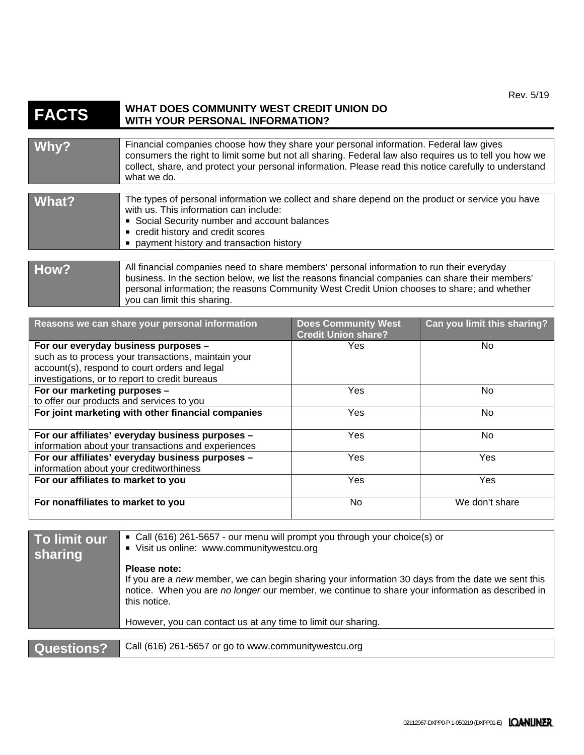## **FACTS** WHAT DOES COMMUNITY WEST CREDIT UNION DO WITH YOUR PERSONAL INFORMATION? **WITH YOUR PERSONAL INFORMATION?**

| Why?  | Financial companies choose how they share your personal information. Federal law gives<br>consumers the right to limit some but not all sharing. Federal law also requires us to tell you how we<br>collect, share, and protect your personal information. Please read this notice carefully to understand<br>what we do. |
|-------|---------------------------------------------------------------------------------------------------------------------------------------------------------------------------------------------------------------------------------------------------------------------------------------------------------------------------|
|       |                                                                                                                                                                                                                                                                                                                           |
| What? | The types of personal information we collect and share depend on the product or service you have<br>with us. This information can include:<br>Social Security number and account balances<br>credit history and credit scores<br>payment history and transaction history                                                  |
|       |                                                                                                                                                                                                                                                                                                                           |
| How?  | All financial companies need to share members' personal information to run their everyday<br>business In the section below we list the reasons financial companies can share their members'                                                                                                                               |

| -------- | business. In the section below, we list the reasons financial companies can share their members'<br>personal information; the reasons Community West Credit Union chooses to share; and whether<br>you can limit this sharing. |
|----------|--------------------------------------------------------------------------------------------------------------------------------------------------------------------------------------------------------------------------------|
|          |                                                                                                                                                                                                                                |
|          |                                                                                                                                                                                                                                |

| Reasons we can share your personal information                                                                                                         | <b>Does Community West</b><br><b>Credit Union share?</b> | Can you limit this sharing? |
|--------------------------------------------------------------------------------------------------------------------------------------------------------|----------------------------------------------------------|-----------------------------|
| For our everyday business purposes -                                                                                                                   | Yes                                                      | No.                         |
| such as to process your transactions, maintain your<br>account(s), respond to court orders and legal<br>investigations, or to report to credit bureaus |                                                          |                             |
| For our marketing purposes -                                                                                                                           | Yes                                                      | No.                         |
| to offer our products and services to you                                                                                                              |                                                          |                             |
| For joint marketing with other financial companies                                                                                                     | <b>Yes</b>                                               | No.                         |
| For our affiliates' everyday business purposes -<br>information about your transactions and experiences                                                | <b>Yes</b>                                               | No.                         |
| For our affiliates' everyday business purposes -<br>information about your creditworthiness                                                            | <b>Yes</b>                                               | Yes                         |
| For our affiliates to market to you                                                                                                                    | <b>Yes</b>                                               | Yes                         |
| For nonaffiliates to market to you                                                                                                                     | No                                                       | We don't share              |

| To limit our<br>sharing | • Call (616) 261-5657 - our menu will prompt you through your choice(s) or<br>Visit us online: www.communitywestcu.org                                                                                                                |
|-------------------------|---------------------------------------------------------------------------------------------------------------------------------------------------------------------------------------------------------------------------------------|
|                         | Please note:<br>If you are a new member, we can begin sharing your information 30 days from the date we sent this<br>notice. When you are no longer our member, we continue to share your information as described in<br>this notice. |
|                         | However, you can contact us at any time to limit our sharing.                                                                                                                                                                         |
|                         |                                                                                                                                                                                                                                       |
| Questions?              | Call (616) 261-5657 or go to www.communitywestcu.org                                                                                                                                                                                  |